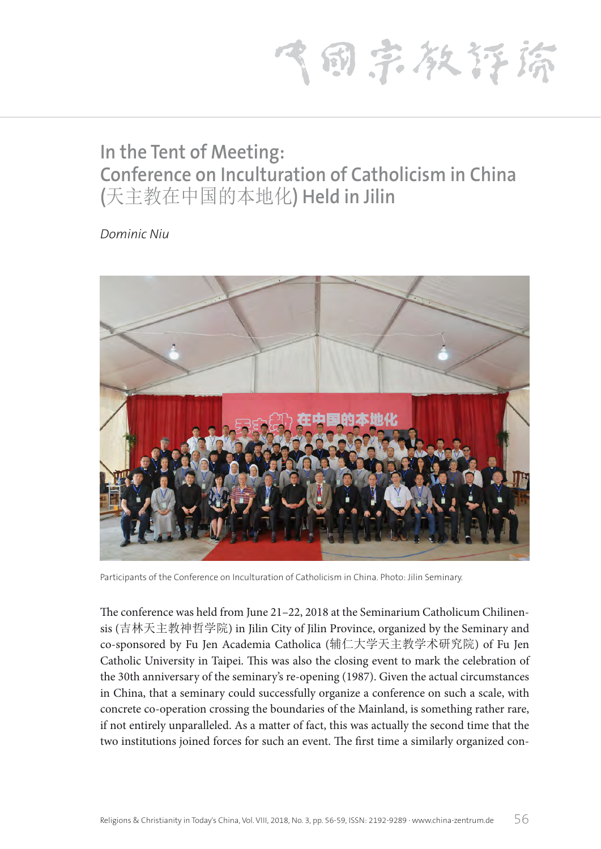1 甸 宗 教 存 斎

## **In the Tent of Meeting: Conference on Inculturation of Catholicism in China (**天主教在中国的本地化**) Held in Jilin**

*Dominic Niu*



Participants of the Conference on Inculturation of Catholicism in China. Photo: Jilin Seminary.

The conference was held from June 21–22, 2018 at the Seminarium Catholicum Chilinensis (吉林天主教神哲学院) in Jilin City of Jilin Province, organized by the Seminary and co-sponsored by Fu Jen Academia Catholica (辅仁大学天主教学术研究院) of Fu Jen Catholic University in Taipei. This was also the closing event to mark the celebration of the 30th anniversary of the seminary's re-opening (1987). Given the actual circumstances in China, that a seminary could successfully organize a conference on such a scale, with concrete co-operation crossing the boundaries of the Mainland, is something rather rare, if not entirely unparalleled. As a matter of fact, this was actually the second time that the two institutions joined forces for such an event. The first time a similarly organized con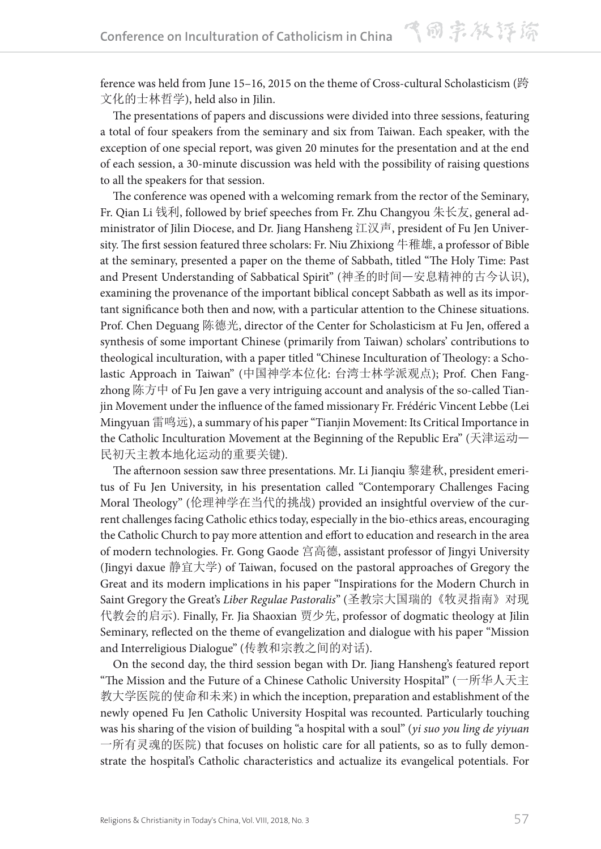ference was held from June 15–16, 2015 on the theme of Cross-cultural Scholasticism (跨 文化的士林哲学), held also in Jilin.

The presentations of papers and discussions were divided into three sessions, featuring a total of four speakers from the seminary and six from Taiwan. Each speaker, with the exception of one special report, was given 20 minutes for the presentation and at the end of each session, a 30-minute discussion was held with the possibility of raising questions to all the speakers for that session.

The conference was opened with a welcoming remark from the rector of the Seminary, Fr. Qian Li 钱利, followed by brief speeches from Fr. Zhu Changyou 朱长友, general administrator of Jilin Diocese, and Dr. Jiang Hansheng 江汉声, president of Fu Jen University. The first session featured three scholars: Fr. Niu Zhixiong 牛稚雄, a professor of Bible at the seminary, presented a paper on the theme of Sabbath, titled "The Holy Time: Past and Present Understanding of Sabbatical Spirit" (神圣的时间—安息精神的古今认识), examining the provenance of the important biblical concept Sabbath as well as its important significance both then and now, with a particular attention to the Chinese situations. Prof. Chen Deguang 陈德光, director of the Center for Scholasticism at Fu Jen, offered a synthesis of some important Chinese (primarily from Taiwan) scholars' contributions to theological inculturation, with a paper titled "Chinese Inculturation of Theology: a Scholastic Approach in Taiwan" (中国神学本位化: 台湾士林学派观点); Prof. Chen Fangzhong 陈方中 of Fu Jen gave a very intriguing account and analysis of the so-called Tianjin Movement under the influence of the famed missionary Fr. Frédéric Vincent Lebbe (Lei Mingyuan 雷鸣远), a summary of his paper "Tianjin Movement: Its Critical Importance in the Catholic Inculturation Movement at the Beginning of the Republic Era" (天津运动— 民初天主教本地化运动的重要关键).

The afternoon session saw three presentations. Mr. Li Jianqiu 黎建秋, president emeritus of Fu Jen University, in his presentation called "Contemporary Challenges Facing Moral Theology" (伦理神学在当代的挑战) provided an insightful overview of the current challenges facing Catholic ethics today, especially in the bio-ethics areas, encouraging the Catholic Church to pay more attention and effort to education and research in the area of modern technologies. Fr. Gong Gaode 宫高德, assistant professor of Jingyi University (Jingyi daxue 静宜大学) of Taiwan, focused on the pastoral approaches of Gregory the Great and its modern implications in his paper "Inspirations for the Modern Church in Saint Gregory the Great's *Liber Regulae Pastoralis*" (圣教宗大国瑞的《牧灵指南》对现 代教会的启示). Finally, Fr. Jia Shaoxian 贾少先, professor of dogmatic theology at Jilin Seminary, reflected on the theme of evangelization and dialogue with his paper "Mission and Interreligious Dialogue" (传教和宗教之间的对话).

On the second day, the third session began with Dr. Jiang Hansheng's featured report "The Mission and the Future of a Chinese Catholic University Hospital" (一所华人天主 教大学医院的使命和未来) in which the inception, preparation and establishment of the newly opened Fu Jen Catholic University Hospital was recounted. Particularly touching was his sharing of the vision of building "a hospital with a soul" (*yi suo you ling de yiyuan*  一所有灵魂的医院) that focuses on holistic care for all patients, so as to fully demonstrate the hospital's Catholic characteristics and actualize its evangelical potentials. For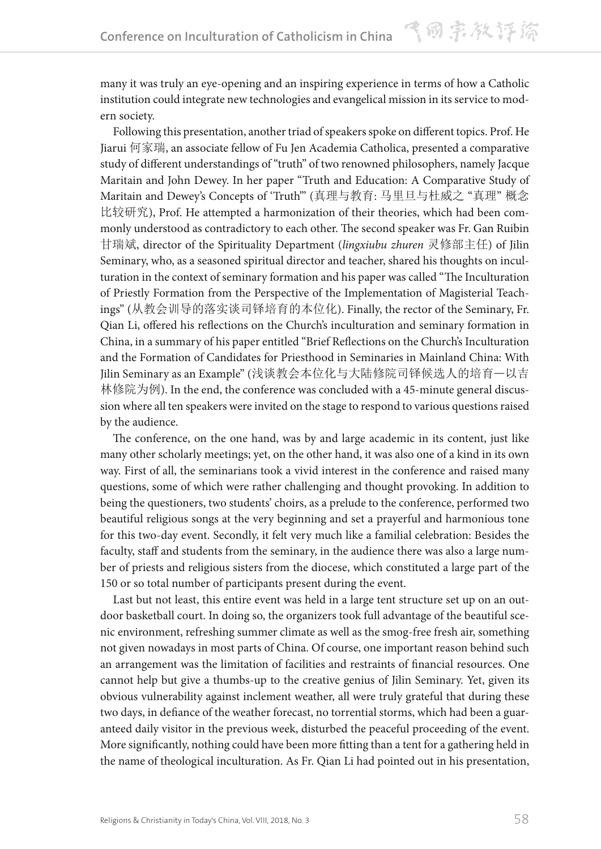many it was truly an eye-opening and an inspiring experience in terms of how a Catholic institution could integrate new technologies and evangelical mission in its service to modern society.

Following this presentation, another triad of speakers spoke on different topics. Prof. He Jiarui 何家瑞, an associate fellow of Fu Jen Academia Catholica, presented a comparative study of different understandings of "truth" of two renowned philosophers, namely Jacque Maritain and John Dewey. In her paper "Truth and Education: A Comparative Study of Maritain and Dewey's Concepts of 'Truth'" (真理与教育: 马里旦与杜威之 "真理" 概念 比较研究), Prof. He attempted a harmonization of their theories, which had been commonly understood as contradictory to each other. The second speaker was Fr. Gan Ruibin 甘瑞斌, director of the Spirituality Department (*lingxiubu zhuren* 灵修部主任) of Jilin Seminary, who, as a seasoned spiritual director and teacher, shared his thoughts on inculturation in the context of seminary formation and his paper was called "The Inculturation of Priestly Formation from the Perspective of the Implementation of Magisterial Teachings" (从教会训导的落实谈司铎培育的本位化). Finally, the rector of the Seminary, Fr. Qian Li, offered his reflections on the Church's inculturation and seminary formation in China, in a summary of his paper entitled "Brief Reflections on the Church's Inculturation and the Formation of Candidates for Priesthood in Seminaries in Mainland China: With Jilin Seminary as an Example" (浅谈教会本位化与大陆修院司铎候选人的培育—以吉 林修院为例). In the end, the conference was concluded with a 45-minute general discussion where all ten speakers were invited on the stage to respond to various questions raised by the audience.

The conference, on the one hand, was by and large academic in its content, just like many other scholarly meetings; yet, on the other hand, it was also one of a kind in its own way. First of all, the seminarians took a vivid interest in the conference and raised many questions, some of which were rather challenging and thought provoking. In addition to being the questioners, two students' choirs, as a prelude to the conference, performed two beautiful religious songs at the very beginning and set a prayerful and harmonious tone for this two-day event. Secondly, it felt very much like a familial celebration: Besides the faculty, staff and students from the seminary, in the audience there was also a large number of priests and religious sisters from the diocese, which constituted a large part of the 150 or so total number of participants present during the event.

Last but not least, this entire event was held in a large tent structure set up on an outdoor basketball court. In doing so, the organizers took full advantage of the beautiful scenic environment, refreshing summer climate as well as the smog-free fresh air, something not given nowadays in most parts of China. Of course, one important reason behind such an arrangement was the limitation of facilities and restraints of financial resources. One cannot help but give a thumbs-up to the creative genius of Jilin Seminary. Yet, given its obvious vulnerability against inclement weather, all were truly grateful that during these two days, in defiance of the weather forecast, no torrential storms, which had been a guaranteed daily visitor in the previous week, disturbed the peaceful proceeding of the event. More significantly, nothing could have been more fitting than a tent for a gathering held in the name of theological inculturation. As Fr. Qian Li had pointed out in his presentation,